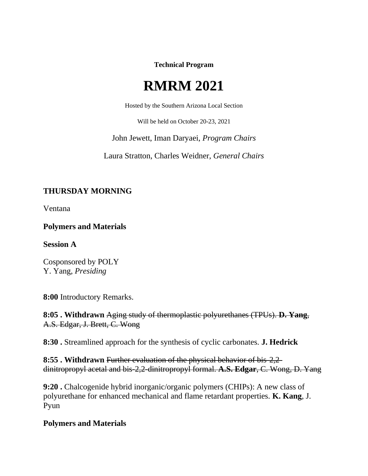**Technical Program**

# **RMRM 2021**

Hosted by the Southern Arizona Local Section

Will be held on October 20-23, 2021

John Jewett, Iman Daryaei, *Program Chairs*

Laura Stratton, Charles Weidner, *General Chairs*

# **THURSDAY MORNING**

Ventana

**Polymers and Materials**

**Session A**

Cosponsored by POLY Y. Yang, *Presiding*

**8:00** Introductory Remarks.

**8:05 . Withdrawn** Aging study of thermoplastic polyurethanes (TPUs). **D. Yang**, A.S. Edgar, J. Brett, C. Wong

**8:30 .** Streamlined approach for the synthesis of cyclic carbonates. **J. Hedrick**

**8:55 . Withdrawn** Further evaluation of the physical behavior of bis-2,2 dinitropropyl acetal and bis-2,2-dinitropropyl formal. **A.S. Edgar**, C. Wong, D. Yang

**9:20 .** Chalcogenide hybrid inorganic/organic polymers (CHIPs): A new class of polyurethane for enhanced mechanical and flame retardant properties. **K. Kang**, J. Pyun

#### **Polymers and Materials**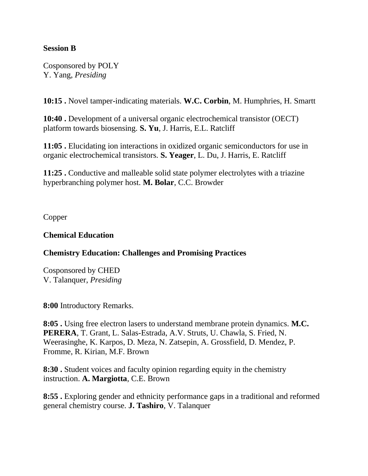#### **Session B**

Cosponsored by POLY Y. Yang, *Presiding*

**10:15 .** Novel tamper-indicating materials. **W.C. Corbin**, M. Humphries, H. Smartt

**10:40 .** Development of a universal organic electrochemical transistor (OECT) platform towards biosensing. **S. Yu**, J. Harris, E.L. Ratcliff

**11:05 .** Elucidating ion interactions in oxidized organic semiconductors for use in organic electrochemical transistors. **S. Yeager**, L. Du, J. Harris, E. Ratcliff

**11:25 .** Conductive and malleable solid state polymer electrolytes with a triazine hyperbranching polymer host. **M. Bolar**, C.C. Browder

Copper

#### **Chemical Education**

#### **Chemistry Education: Challenges and Promising Practices**

Cosponsored by CHED V. Talanquer, *Presiding*

**8:00** Introductory Remarks.

**8:05 .** Using free electron lasers to understand membrane protein dynamics. **M.C. PERERA**, T. Grant, L. Salas-Estrada, A.V. Struts, U. Chawla, S. Fried, N. Weerasinghe, K. Karpos, D. Meza, N. Zatsepin, A. Grossfield, D. Mendez, P. Fromme, R. Kirian, M.F. Brown

**8:30 .** Student voices and faculty opinion regarding equity in the chemistry instruction. **A. Margiotta**, C.E. Brown

**8:55 .** Exploring gender and ethnicity performance gaps in a traditional and reformed general chemistry course. **J. Tashiro**, V. Talanquer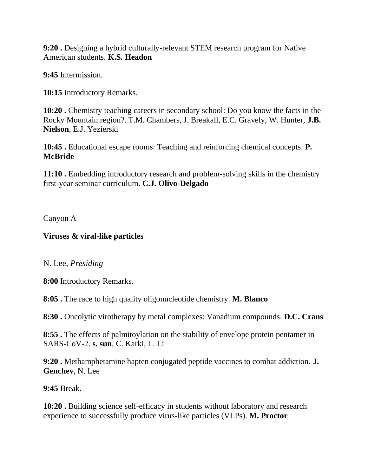**9:20 .** Designing a hybrid culturally-relevant STEM research program for Native American students. **K.S. Headon**

**9:45** Intermission.

**10:15** Introductory Remarks.

**10:20 .** Chemistry teaching careers in secondary school: Do you know the facts in the Rocky Mountain region?. T.M. Chambers, J. Breakall, E.C. Gravely, W. Hunter, **J.B. Nielson**, E.J. Yezierski

**10:45 .** Educational escape rooms: Teaching and reinforcing chemical concepts. **P. McBride**

**11:10 .** Embedding introductory research and problem-solving skills in the chemistry first-year seminar curriculum. **C.J. Olivo-Delgado**

Canyon A

#### **Viruses & viral-like particles**

#### N. Lee, *Presiding*

**8:00** Introductory Remarks.

**8:05 .** The race to high quality oligonucleotide chemistry. **M. Blanco**

**8:30 .** Oncolytic virotherapy by metal complexes: Vanadium compounds. **D.C. Crans**

**8:55 .** The effects of palmitoylation on the stability of envelope protein pentamer in SARS-CoV-2. **s. sun**, C. Karki, L. Li

**9:20 .** Methamphetamine hapten conjugated peptide vaccines to combat addiction. **J. Genchev**, N. Lee

**9:45** Break.

**10:20 .** Building science self-efficacy in students without laboratory and research experience to successfully produce virus-like particles (VLPs). **M. Proctor**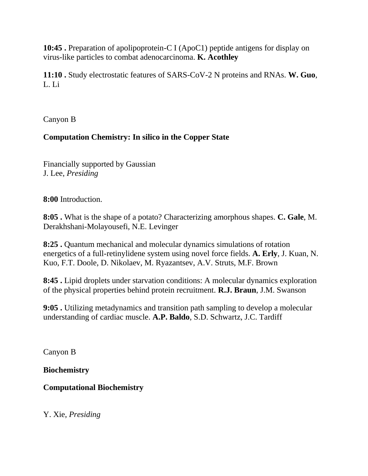**10:45 .** Preparation of apolipoprotein-C I (ApoC1) peptide antigens for display on virus-like particles to combat adenocarcinoma. **K. Acothley**

**11:10 .** Study electrostatic features of SARS-CoV-2 N proteins and RNAs. **W. Guo**, L. Li

Canyon B

# **Computation Chemistry: In silico in the Copper State**

Financially supported by Gaussian J. Lee, *Presiding*

**8:00** Introduction.

**8:05 .** What is the shape of a potato? Characterizing amorphous shapes. **C. Gale**, M. Derakhshani-Molayousefi, N.E. Levinger

**8:25 .** Quantum mechanical and molecular dynamics simulations of rotation energetics of a full-retinylidene system using novel force fields. **A. Erly**, J. Kuan, N. Kuo, F.T. Doole, D. Nikolaev, M. Ryazantsev, A.V. Struts, M.F. Brown

**8:45 .** Lipid droplets under starvation conditions: A molecular dynamics exploration of the physical properties behind protein recruitment. **R.J. Braun**, J.M. Swanson

**9:05 .** Utilizing metadynamics and transition path sampling to develop a molecular understanding of cardiac muscle. **A.P. Baldo**, S.D. Schwartz, J.C. Tardiff

Canyon B

**Biochemistry**

**Computational Biochemistry**

Y. Xie, *Presiding*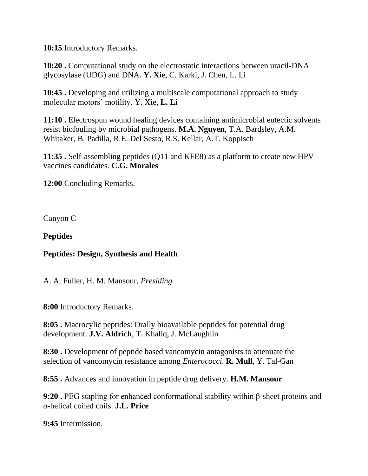**10:15** Introductory Remarks.

**10:20 .** Computational study on the electrostatic interactions between uracil-DNA glycosylase (UDG) and DNA. **Y. Xie**, C. Karki, J. Chen, L. Li

**10:45 .** Developing and utilizing a multiscale computational approach to study molecular motors' motility. Y. Xie, **L. Li**

**11:10 .** Electrospun wound healing devices containing antimicrobial eutectic solvents resist biofouling by microbial pathogens. **M.A. Nguyen**, T.A. Bardsley, A.M. Whitaker, B. Padilla, R.E. Del Sesto, R.S. Kellar, A.T. Koppisch

**11:35 .** Self-assembling peptides (Q11 and KFE8) as a platform to create new HPV vaccines candidates. **C.G. Morales**

**12:00** Concluding Remarks.

Canyon C

**Peptides**

#### **Peptides: Design, Synthesis and Health**

A. A. Fuller, H. M. Mansour, *Presiding*

**8:00** Introductory Remarks.

**8:05 .** Macrocylic peptides: Orally bioavailable peptides for potential drug development. **J.V. Aldrich**, T. Khaliq, J. McLaughlin

**8:30 .** Development of peptide based vancomycin antagonists to attenuate the selection of vancomycin resistance among *Enterococci*. **R. Mull**, Y. Tal-Gan

**8:55 .** Advances and innovation in peptide drug delivery. **H.M. Mansour**

**9:20 .** PEG stapling for enhanced conformational stability within β-sheet proteins and α-helical coiled coils. **J.L. Price**

**9:45** Intermission.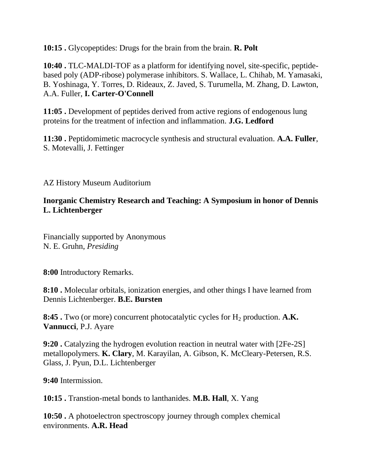**10:15 .** Glycopeptides: Drugs for the brain from the brain. **R. Polt**

**10:40 .** TLC-MALDI-TOF as a platform for identifying novel, site-specific, peptidebased poly (ADP-ribose) polymerase inhibitors. S. Wallace, L. Chihab, M. Yamasaki, B. Yoshinaga, Y. Torres, D. Rideaux, Z. Javed, S. Turumella, M. Zhang, D. Lawton, A.A. Fuller, **I. Carter-O'Connell**

**11:05 .** Development of peptides derived from active regions of endogenous lung proteins for the treatment of infection and inflammation. **J.G. Ledford**

**11:30 .** Peptidomimetic macrocycle synthesis and structural evaluation. **A.A. Fuller**, S. Motevalli, J. Fettinger

AZ History Museum Auditorium

#### **Inorganic Chemistry Research and Teaching: A Symposium in honor of Dennis L. Lichtenberger**

Financially supported by Anonymous N. E. Gruhn, *Presiding*

**8:00** Introductory Remarks.

**8:10 .** Molecular orbitals, ionization energies, and other things I have learned from Dennis Lichtenberger. **B.E. Bursten**

**8:45 .** Two (or more) concurrent photocatalytic cycles for H<sub>2</sub> production. A.K. **Vannucci**, P.J. Ayare

**9:20 .** Catalyzing the hydrogen evolution reaction in neutral water with [2Fe-2S] metallopolymers. **K. Clary**, M. Karayilan, A. Gibson, K. McCleary-Petersen, R.S. Glass, J. Pyun, D.L. Lichtenberger

**9:40** Intermission.

**10:15 .** Transtion-metal bonds to lanthanides. **M.B. Hall**, X. Yang

**10:50 .** A photoelectron spectroscopy journey through complex chemical environments. **A.R. Head**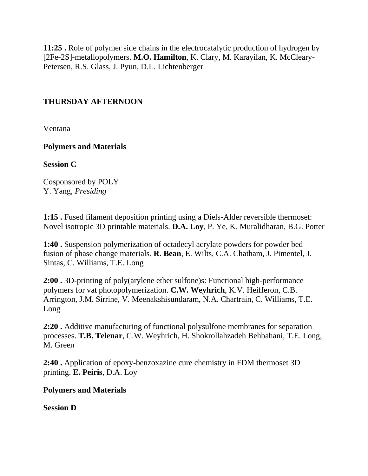**11:25 .** Role of polymer side chains in the electrocatalytic production of hydrogen by [2Fe-2S]-metallopolymers. **M.O. Hamilton**, K. Clary, M. Karayilan, K. McCleary-Petersen, R.S. Glass, J. Pyun, D.L. Lichtenberger

## **THURSDAY AFTERNOON**

Ventana

**Polymers and Materials**

**Session C**

Cosponsored by POLY Y. Yang, *Presiding*

**1:15 .** Fused filament deposition printing using a Diels-Alder reversible thermoset: Novel isotropic 3D printable materials. **D.A. Loy**, P. Ye, K. Muralidharan, B.G. Potter

**1:40 .** Suspension polymerization of octadecyl acrylate powders for powder bed fusion of phase change materials. **R. Bean**, E. Wilts, C.A. Chatham, J. Pimentel, J. Sintas, C. Williams, T.E. Long

**2:00 .** 3D-printing of poly(arylene ether sulfone)s: Functional high-performance polymers for vat photopolymerization. **C.W. Weyhrich**, K.V. Heifferon, C.B. Arrington, J.M. Sirrine, V. Meenakshisundaram, N.A. Chartrain, C. Williams, T.E. Long

**2:20 .** Additive manufacturing of functional polysulfone membranes for separation processes. **T.B. Telenar**, C.W. Weyhrich, H. Shokrollahzadeh Behbahani, T.E. Long, M. Green

**2:40 .** Application of epoxy-benzoxazine cure chemistry in FDM thermoset 3D printing. **E. Peiris**, D.A. Loy

#### **Polymers and Materials**

**Session D**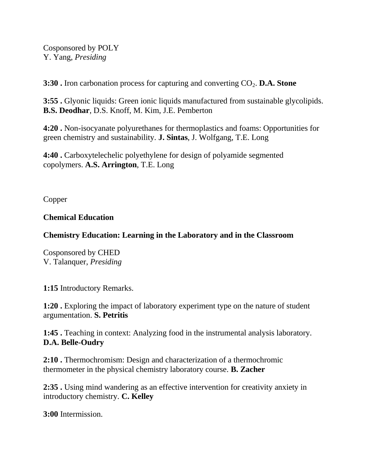Cosponsored by POLY Y. Yang, *Presiding*

**3:30 .** Iron carbonation process for capturing and converting CO<sub>2</sub>. D.A. Stone

**3:55 .** Glyonic liquids: Green ionic liquids manufactured from sustainable glycolipids. **B.S. Deodhar**, D.S. Knoff, M. Kim, J.E. Pemberton

**4:20 .** Non-isocyanate polyurethanes for thermoplastics and foams: Opportunities for green chemistry and sustainability. **J. Sintas**, J. Wolfgang, T.E. Long

**4:40 .** Carboxytelechelic polyethylene for design of polyamide segmented copolymers. **A.S. Arrington**, T.E. Long

Copper

## **Chemical Education**

## **Chemistry Education: Learning in the Laboratory and in the Classroom**

Cosponsored by CHED V. Talanquer, *Presiding*

**1:15** Introductory Remarks.

**1:20 .** Exploring the impact of laboratory experiment type on the nature of student argumentation. **S. Petritis**

**1:45 .** Teaching in context: Analyzing food in the instrumental analysis laboratory. **D.A. Belle-Oudry**

**2:10 .** Thermochromism: Design and characterization of a thermochromic thermometer in the physical chemistry laboratory course. **B. Zacher**

**2:35 .** Using mind wandering as an effective intervention for creativity anxiety in introductory chemistry. **C. Kelley**

**3:00** Intermission.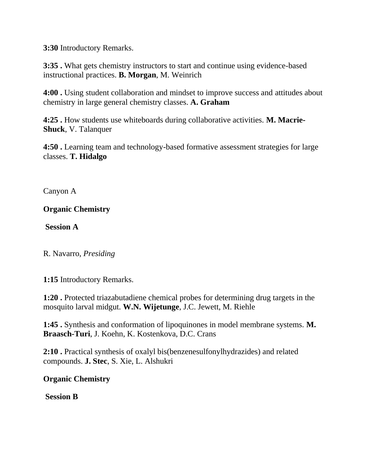**3:30** Introductory Remarks.

**3:35 .** What gets chemistry instructors to start and continue using evidence-based instructional practices. **B. Morgan**, M. Weinrich

**4:00 .** Using student collaboration and mindset to improve success and attitudes about chemistry in large general chemistry classes. **A. Graham**

**4:25 .** How students use whiteboards during collaborative activities. **M. Macrie-Shuck**, V. Talanquer

**4:50 .** Learning team and technology-based formative assessment strategies for large classes. **T. Hidalgo**

Canyon A

## **Organic Chemistry**

**Session A**

R. Navarro, *Presiding*

**1:15** Introductory Remarks.

**1:20 .** Protected triazabutadiene chemical probes for determining drug targets in the mosquito larval midgut. **W.N. Wijetunge**, J.C. Jewett, M. Riehle

**1:45 .** Synthesis and conformation of lipoquinones in model membrane systems. **M. Braasch-Turi**, J. Koehn, K. Kostenkova, D.C. Crans

**2:10 .** Practical synthesis of oxalyl bis(benzenesulfonylhydrazides) and related compounds. **J. Stec**, S. Xie, L. Alshukri

**Organic Chemistry**

**Session B**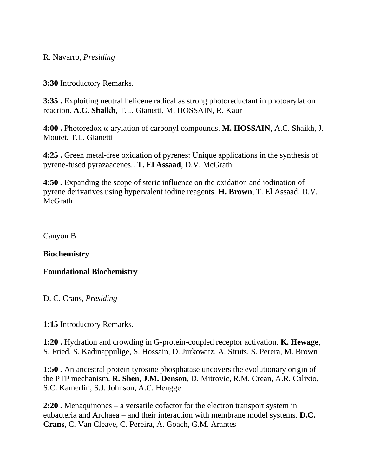R. Navarro, *Presiding*

**3:30** Introductory Remarks.

**3:35 .** Exploiting neutral helicene radical as strong photoreductant in photoarylation reaction. **A.C. Shaikh**, T.L. Gianetti, M. HOSSAIN, R. Kaur

**4:00 .** Photoredox α-arylation of carbonyl compounds. **M. HOSSAIN**, A.C. Shaikh, J. Moutet, T.L. Gianetti

**4:25 .** Green metal-free oxidation of pyrenes: Unique applications in the synthesis of pyrene-fused pyrazaacenes.. **T. El Assaad**, D.V. McGrath

**4:50 .** Expanding the scope of steric influence on the oxidation and iodination of pyrene derivatives using hypervalent iodine reagents. **H. Brown**, T. El Assaad, D.V. McGrath

Canyon B

**Biochemistry**

**Foundational Biochemistry**

D. C. Crans, *Presiding*

**1:15** Introductory Remarks.

**1:20 .** Hydration and crowding in G-protein-coupled receptor activation. **K. Hewage**, S. Fried, S. Kadinappulige, S. Hossain, D. Jurkowitz, A. Struts, S. Perera, M. Brown

**1:50 .** An ancestral protein tyrosine phosphatase uncovers the evolutionary origin of the PTP mechanism. **R. Shen**, **J.M. Denson**, D. Mitrovic, R.M. Crean, A.R. Calixto, S.C. Kamerlin, S.J. Johnson, A.C. Hengge

**2:20 .** Menaquinones – a versatile cofactor for the electron transport system in eubacteria and Archaea – and their interaction with membrane model systems. **D.C. Crans**, C. Van Cleave, C. Pereira, A. Goach, G.M. Arantes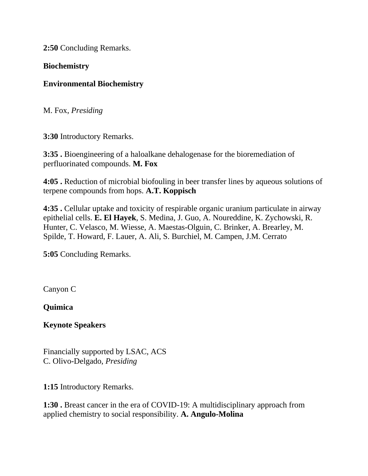**2:50** Concluding Remarks.

#### **Biochemistry**

## **Environmental Biochemistry**

M. Fox, *Presiding*

**3:30** Introductory Remarks.

**3:35 .** Bioengineering of a haloalkane dehalogenase for the bioremediation of perfluorinated compounds. **M. Fox**

**4:05 .** Reduction of microbial biofouling in beer transfer lines by aqueous solutions of terpene compounds from hops. **A.T. Koppisch**

**4:35 .** Cellular uptake and toxicity of respirable organic uranium particulate in airway epithelial cells. **E. El Hayek**, S. Medina, J. Guo, A. Noureddine, K. Zychowski, R. Hunter, C. Velasco, M. Wiesse, A. Maestas-Olguin, C. Brinker, A. Brearley, M. Spilde, T. Howard, F. Lauer, A. Ali, S. Burchiel, M. Campen, J.M. Cerrato

**5:05** Concluding Remarks.

Canyon C

**Quimica**

**Keynote Speakers**

Financially supported by LSAC, ACS C. Olivo-Delgado, *Presiding*

**1:15** Introductory Remarks.

**1:30 .** Breast cancer in the era of COVID-19: A multidisciplinary approach from applied chemistry to social responsibility. **A. Angulo-Molina**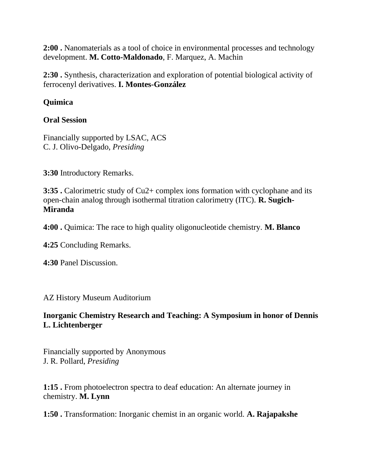**2:00 .** Nanomaterials as a tool of choice in environmental processes and technology development. **M. Cotto-Maldonado**, F. Marquez, A. Machin

**2:30 .** Synthesis, characterization and exploration of potential biological activity of ferrocenyl derivatives. **I. Montes-González**

# **Quimica**

# **Oral Session**

Financially supported by LSAC, ACS C. J. Olivo-Delgado, *Presiding*

**3:30** Introductory Remarks.

**3:35 .** Calorimetric study of Cu2+ complex ions formation with cyclophane and its open-chain analog through isothermal titration calorimetry (ITC). **R. Sugich-Miranda**

**4:00 .** Quimica: The race to high quality oligonucleotide chemistry. **M. Blanco**

**4:25** Concluding Remarks.

**4:30** Panel Discussion.

AZ History Museum Auditorium

# **Inorganic Chemistry Research and Teaching: A Symposium in honor of Dennis L. Lichtenberger**

Financially supported by Anonymous J. R. Pollard, *Presiding*

**1:15 .** From photoelectron spectra to deaf education: An alternate journey in chemistry. **M. Lynn**

**1:50 .** Transformation: Inorganic chemist in an organic world. **A. Rajapakshe**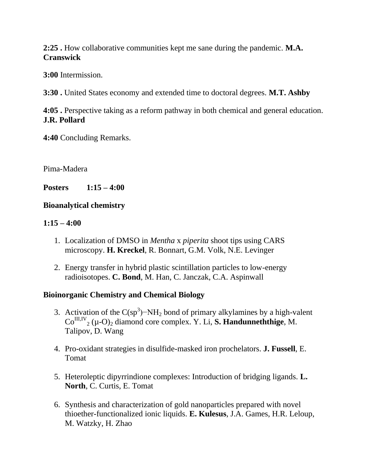**2:25 .** How collaborative communities kept me sane during the pandemic. **M.A. Cranswick**

**3:00** Intermission.

**3:30 .** United States economy and extended time to doctoral degrees. **M.T. Ashby**

**4:05 .** Perspective taking as a reform pathway in both chemical and general education. **J.R. Pollard**

**4:40** Concluding Remarks.

Pima-Madera

**Posters 1:15 – 4:00**

## **Bioanalytical chemistry**

## **1:15 – 4:00**

- 1. Localization of DMSO in *Mentha* x *piperita* shoot tips using CARS microscopy. **H. Kreckel**, R. Bonnart, G.M. Volk, N.E. Levinger
- 2. Energy transfer in hybrid plastic scintillation particles to low-energy radioisotopes. **C. Bond**, M. Han, C. Janczak, C.A. Aspinwall

# **Bioinorganic Chemistry and Chemical Biology**

- 3. Activation of the  $C(sp^3)$ -NH<sub>2</sub> bond of primary alkylamines by a high-valent Co<sup>III,IV</sup><sub>2</sub> (μ-O)<sub>2</sub> diamond core complex. Y. Li, **S. Handunneththige**, M. Talipov, D. Wang
- 4. Pro-oxidant strategies in disulfide-masked iron prochelators. **J. Fussell**, E. Tomat
- 5. Heteroleptic dipyrrindione complexes: Introduction of bridging ligands. **L. North**, C. Curtis, E. Tomat
- 6. Synthesis and characterization of gold nanoparticles prepared with novel thioether-functionalized ionic liquids. **E. Kulesus**, J.A. Games, H.R. Leloup, M. Watzky, H. Zhao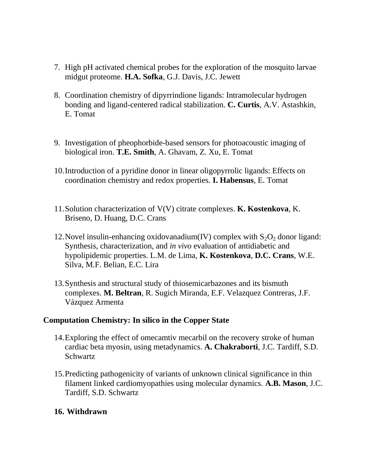- 7. High pH activated chemical probes for the exploration of the mosquito larvae midgut proteome. **H.A. Sofka**, G.J. Davis, J.C. Jewett
- 8. Coordination chemistry of dipyrrindione ligands: Intramolecular hydrogen bonding and ligand-centered radical stabilization. **C. Curtis**, A.V. Astashkin, E. Tomat
- 9. Investigation of pheophorbide-based sensors for photoacoustic imaging of biological iron. **T.E. Smith**, A. Ghavam, Z. Xu, E. Tomat
- 10.Introduction of a pyridine donor in linear oligopyrrolic ligands: Effects on coordination chemistry and redox properties. **I. Habensus**, E. Tomat
- 11.Solution characterization of V(V) citrate complexes. **K. Kostenkova**, K. Briseno, D. Huang, D.C. Crans
- 12. Novel insulin-enhancing oxidovanadium(IV) complex with  $S_2O_2$  donor ligand: Synthesis, characterization, and *in vivo* evaluation of antidiabetic and hypolipidemic properties. L.M. de Lima, **K. Kostenkova**, **D.C. Crans**, W.E. Silva, M.F. Belian, E.C. Lira
- 13.Synthesis and structural study of thiosemicarbazones and its bismuth complexes. **M. Beltran**, R. Sugich Miranda, E.F. Velazquez Contreras, J.F. Vázquez Armenta

#### **Computation Chemistry: In silico in the Copper State**

- 14.Exploring the effect of omecamtiv mecarbil on the recovery stroke of human cardiac beta myosin, using metadynamics. **A. Chakraborti**, J.C. Tardiff, S.D. **Schwartz**
- 15.Predicting pathogenicity of variants of unknown clinical significance in thin filament linked cardiomyopathies using molecular dynamics. **A.B. Mason**, J.C. Tardiff, S.D. Schwartz

#### **16. Withdrawn**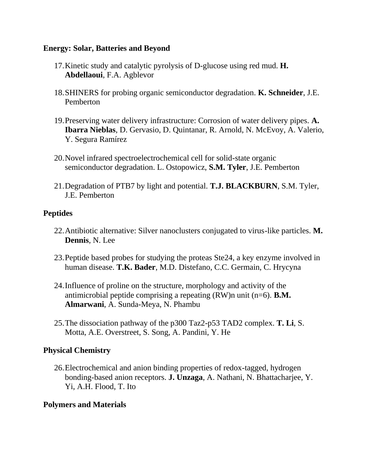#### **Energy: Solar, Batteries and Beyond**

- 17.Kinetic study and catalytic pyrolysis of D-glucose using red mud. **H. Abdellaoui**, F.A. Agblevor
- 18.SHINERS for probing organic semiconductor degradation. **K. Schneider**, J.E. Pemberton
- 19.Preserving water delivery infrastructure: Corrosion of water delivery pipes. **A. Ibarra Nieblas**, D. Gervasio, D. Quintanar, R. Arnold, N. McEvoy, A. Valerio, Y. Segura Ramírez
- 20.Novel infrared spectroelectrochemical cell for solid-state organic semiconductor degradation. L. Ostopowicz, **S.M. Tyler**, J.E. Pemberton
- 21.Degradation of PTB7 by light and potential. **T.J. BLACKBURN**, S.M. Tyler, J.E. Pemberton

#### **Peptides**

- 22.Antibiotic alternative: Silver nanoclusters conjugated to virus-like particles. **M. Dennis**, N. Lee
- 23.Peptide based probes for studying the proteas Ste24, a key enzyme involved in human disease. **T.K. Bader**, M.D. Distefano, C.C. Germain, C. Hrycyna
- 24.Influence of proline on the structure, morphology and activity of the antimicrobial peptide comprising a repeating (RW)n unit (n=6). **B.M. Almarwani**, A. Sunda-Meya, N. Phambu
- 25.The dissociation pathway of the p300 Taz2-p53 TAD2 complex. **T. Li**, S. Motta, A.E. Overstreet, S. Song, A. Pandini, Y. He

#### **Physical Chemistry**

26.Electrochemical and anion binding properties of redox-tagged, hydrogen bonding-based anion receptors. **J. Unzaga**, A. Nathani, N. Bhattacharjee, Y. Yi, A.H. Flood, T. Ito

# **Polymers and Materials**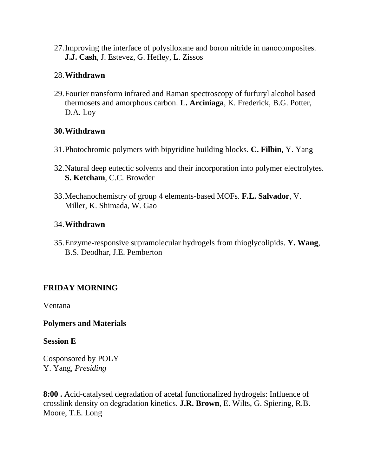27.Improving the interface of polysiloxane and boron nitride in nanocomposites. **J.J. Cash**, J. Estevez, G. Hefley, L. Zissos

# 28.**Withdrawn**

29.Fourier transform infrared and Raman spectroscopy of furfuryl alcohol based thermosets and amorphous carbon. **L. Arciniaga**, K. Frederick, B.G. Potter, D.A. Loy

## **30.Withdrawn**

- 31.Photochromic polymers with bipyridine building blocks. **C. Filbin**, Y. Yang
- 32.Natural deep eutectic solvents and their incorporation into polymer electrolytes. **S. Ketcham**, C.C. Browder
- 33.Mechanochemistry of group 4 elements-based MOFs. **F.L. Salvador**, V. Miller, K. Shimada, W. Gao

## 34.**Withdrawn**

35.Enzyme-responsive supramolecular hydrogels from thioglycolipids. **Y. Wang**, B.S. Deodhar, J.E. Pemberton

# **FRIDAY MORNING**

Ventana

#### **Polymers and Materials**

#### **Session E**

Cosponsored by POLY Y. Yang, *Presiding*

**8:00 .** Acid-catalysed degradation of acetal functionalized hydrogels: Influence of crosslink density on degradation kinetics. **J.R. Brown**, E. Wilts, G. Spiering, R.B. Moore, T.E. Long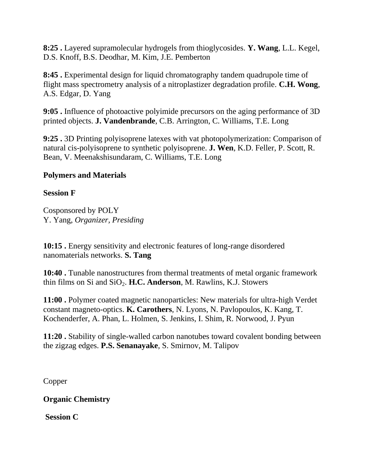**8:25 .** Layered supramolecular hydrogels from thioglycosides. **Y. Wang**, L.L. Kegel, D.S. Knoff, B.S. Deodhar, M. Kim, J.E. Pemberton

**8:45 .** Experimental design for liquid chromatography tandem quadrupole time of flight mass spectrometry analysis of a nitroplastizer degradation profile. **C.H. Wong**, A.S. Edgar, D. Yang

**9:05 .** Influence of photoactive polyimide precursors on the aging performance of 3D printed objects. **J. Vandenbrande**, C.B. Arrington, C. Williams, T.E. Long

**9:25 .** 3D Printing polyisoprene latexes with vat photopolymerization: Comparison of natural cis-polyisoprene to synthetic polyisoprene. **J. Wen**, K.D. Feller, P. Scott, R. Bean, V. Meenakshisundaram, C. Williams, T.E. Long

## **Polymers and Materials**

#### **Session F**

Cosponsored by POLY Y. Yang, *Organizer, Presiding*

**10:15 .** Energy sensitivity and electronic features of long-range disordered nanomaterials networks. **S. Tang**

**10:40 .** Tunable nanostructures from thermal treatments of metal organic framework thin films on Si and SiO<sub>2</sub>. **H.C. Anderson**, M. Rawlins, K.J. Stowers

**11:00 .** Polymer coated magnetic nanoparticles: New materials for ultra-high Verdet constant magneto-optics. **K. Carothers**, N. Lyons, N. Pavlopoulos, K. Kang, T. Kochenderfer, A. Phan, L. Holmen, S. Jenkins, I. Shim, R. Norwood, J. Pyun

**11:20 .** Stability of single-walled carbon nanotubes toward covalent bonding between the zigzag edges. **P.S. Senanayake**, S. Smirnov, M. Talipov

Copper

**Organic Chemistry**

**Session C**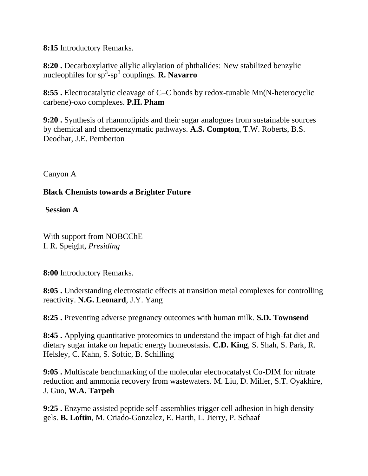**8:15** Introductory Remarks.

**8:20 .** Decarboxylative allylic alkylation of phthalides: New stabilized benzylic nucleophiles for sp<sup>3</sup> -sp<sup>3</sup> couplings. **R. Navarro**

**8:55 .** Electrocatalytic cleavage of C–C bonds by redox-tunable Mn(N-heterocyclic carbene)-oxo complexes. **P.H. Pham**

**9:20 .** Synthesis of rhamnolipids and their sugar analogues from sustainable sources by chemical and chemoenzymatic pathways. **A.S. Compton**, T.W. Roberts, B.S. Deodhar, J.E. Pemberton

Canyon A

# **Black Chemists towards a Brighter Future**

**Session A**

With support from NOBCChE I. R. Speight, *Presiding*

**8:00** Introductory Remarks.

**8:05 .** Understanding electrostatic effects at transition metal complexes for controlling reactivity. **N.G. Leonard**, J.Y. Yang

**8:25 .** Preventing adverse pregnancy outcomes with human milk. **S.D. Townsend**

**8:45 .** Applying quantitative proteomics to understand the impact of high-fat diet and dietary sugar intake on hepatic energy homeostasis. **C.D. King**, S. Shah, S. Park, R. Helsley, C. Kahn, S. Softic, B. Schilling

**9:05 .** Multiscale benchmarking of the molecular electrocatalyst Co-DIM for nitrate reduction and ammonia recovery from wastewaters. M. Liu, D. Miller, S.T. Oyakhire, J. Guo, **W.A. Tarpeh**

**9:25 .** Enzyme assisted peptide self-assemblies trigger cell adhesion in high density gels. **B. Loftin**, M. Criado-Gonzalez, E. Harth, L. Jierry, P. Schaaf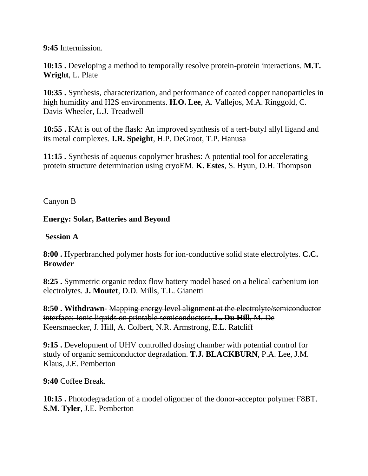**9:45** Intermission.

**10:15 .** Developing a method to temporally resolve protein-protein interactions. **M.T. Wright**, L. Plate

**10:35 .** Synthesis, characterization, and performance of coated copper nanoparticles in high humidity and H2S environments. **H.O. Lee**, A. Vallejos, M.A. Ringgold, C. Davis-Wheeler, L.J. Treadwell

**10:55 .** KAt is out of the flask: An improved synthesis of a tert-butyl allyl ligand and its metal complexes. **I.R. Speight**, H.P. DeGroot, T.P. Hanusa

**11:15 .** Synthesis of aqueous copolymer brushes: A potential tool for accelerating protein structure determination using cryoEM. **K. Estes**, S. Hyun, D.H. Thompson

Canyon B

## **Energy: Solar, Batteries and Beyond**

## **Session A**

**8:00 .** Hyperbranched polymer hosts for ion-conductive solid state electrolytes. **C.C. Browder**

**8:25 .** Symmetric organic redox flow battery model based on a helical carbenium ion electrolytes. **J. Moutet**, D.D. Mills, T.L. Gianetti

**8:50 . Withdrawn-** Mapping energy level alignment at the electrolyte/semiconductor interface: Ionic liquids on printable semiconductors. **L. Du Hill**, M. De Keersmaecker, J. Hill, A. Colbert, N.R. Armstrong, E.L. Ratcliff

**9:15 .** Development of UHV controlled dosing chamber with potential control for study of organic semiconductor degradation. **T.J. BLACKBURN**, P.A. Lee, J.M. Klaus, J.E. Pemberton

**9:40** Coffee Break.

**10:15 .** Photodegradation of a model oligomer of the donor-acceptor polymer F8BT. **S.M. Tyler**, J.E. Pemberton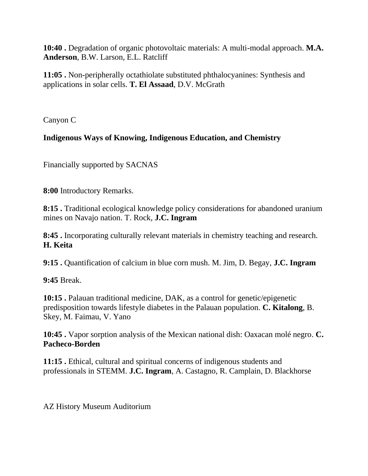**10:40 .** Degradation of organic photovoltaic materials: A multi-modal approach. **M.A. Anderson**, B.W. Larson, E.L. Ratcliff

**11:05 .** Non-peripherally octathiolate substituted phthalocyanines: Synthesis and applications in solar cells. **T. El Assaad**, D.V. McGrath

Canyon C

# **Indigenous Ways of Knowing, Indigenous Education, and Chemistry**

Financially supported by SACNAS

**8:00** Introductory Remarks.

**8:15 .** Traditional ecological knowledge policy considerations for abandoned uranium mines on Navajo nation. T. Rock, **J.C. Ingram**

**8:45 .** Incorporating culturally relevant materials in chemistry teaching and research. **H. Keita**

**9:15 .** Quantification of calcium in blue corn mush. M. Jim, D. Begay, **J.C. Ingram**

**9:45** Break.

**10:15 .** Palauan traditional medicine, DAK, as a control for genetic/epigenetic predisposition towards lifestyle diabetes in the Palauan population. **C. Kitalong**, B. Skey, M. Faimau, V. Yano

**10:45 .** Vapor sorption analysis of the Mexican national dish: Oaxacan molé negro. **C. Pacheco-Borden**

**11:15 .** Ethical, cultural and spiritual concerns of indigenous students and professionals in STEMM. **J.C. Ingram**, A. Castagno, R. Camplain, D. Blackhorse

AZ History Museum Auditorium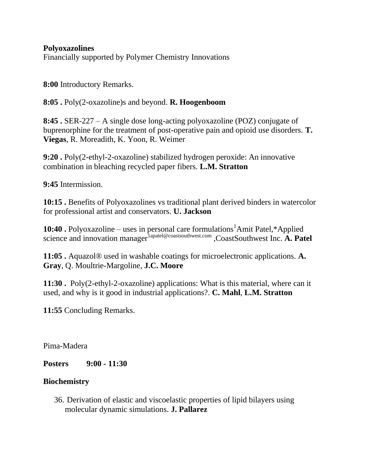**Polyoxazolines** Financially supported by Polymer Chemistry Innovations

**8:00** Introductory Remarks.

**8:05 .** Poly(2-oxazoline)s and beyond. **R. Hoogenboom**

**8:45 .** SER-227 – A single dose long-acting polyoxazoline (POZ) conjugate of buprenorphine for the treatment of post-operative pain and opioid use disorders. **T. Viegas**, R. Moreadith, K. Yoon, R. Weimer

**9:20 .** Poly(2-ethyl-2-oxazoline) stabilized hydrogen peroxide: An innovative combination in bleaching recycled paper fibers. **L.M. Stratton**

**9:45** Intermission.

**10:15 .** Benefits of Polyoxazolines vs traditional plant derived binders in watercolor for professional artist and conservators. **U. Jackson**

**10:40 .** Polyoxazoline – uses in personal care formulations<sup>1</sup>Amit Patel,\*Applied science and innovation manager<sup>1apatel@coastsouthwest.com</sup> ,CoastSouthwest Inc. **A. Patel** 

**11:05 .** Aquazol® used in washable coatings for microelectronic applications. **A. Gray**, Q. Moultrie-Margoline, **J.C. Moore**

**11:30 .** Poly(2-ethyl-2-oxazoline) applications: What is this material, where can it used, and why is it good in industrial applications?. **C. Mahl**, **L.M. Stratton**

**11:55** Concluding Remarks.

Pima-Madera

**Posters 9:00 - 11:30**

# **Biochemistry**

36. Derivation of elastic and viscoelastic properties of lipid bilayers using molecular dynamic simulations. **J. Pallarez**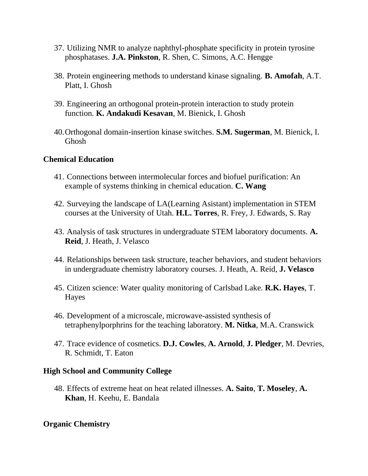- 37. Utilizing NMR to analyze naphthyl-phosphate specificity in protein tyrosine phosphatases. **J.A. Pinkston**, R. Shen, C. Simons, A.C. Hengge
- 38. Protein engineering methods to understand kinase signaling. **B. Amofah**, A.T. Platt, I. Ghosh
- 39. Engineering an orthogonal protein-protein interaction to study protein function. **K. Andakudi Kesavan**, M. Bienick, I. Ghosh
- 40.Orthogonal domain-insertion kinase switches. **S.M. Sugerman**, M. Bienick, I. Ghosh

#### **Chemical Education**

- 41. Connections between intermolecular forces and biofuel purification: An example of systems thinking in chemical education. **C. Wang**
- 42. Surveying the landscape of LA(Learning Asistant) implementation in STEM courses at the University of Utah. **H.L. Torres**, R. Frey, J. Edwards, S. Ray
- 43. Analysis of task structures in undergraduate STEM laboratory documents. **A. Reid**, J. Heath, J. Velasco
- 44. Relationships between task structure, teacher behaviors, and student behaviors in undergraduate chemistry laboratory courses. J. Heath, A. Reid, **J. Velasco**
- 45. Citizen science: Water quality monitoring of Carlsbad Lake. **R.K. Hayes**, T. Hayes
- 46. Development of a microscale, microwave-assisted synthesis of tetraphenylporphrins for the teaching laboratory. **M. Nitka**, M.A. Cranswick
- 47. Trace evidence of cosmetics. **D.J. Cowles**, **A. Arnold**, **J. Pledger**, M. Devries, R. Schmidt, T. Eaton

#### **High School and Community College**

48. Effects of extreme heat on heat related illnesses. **A. Saito**, **T. Moseley**, **A. Khan**, H. Keehu, E. Bandala

#### **Organic Chemistry**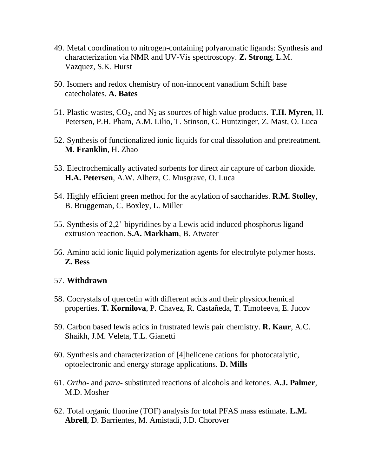- 49. Metal coordination to nitrogen-containing polyaromatic ligands: Synthesis and characterization via NMR and UV-Vis spectroscopy. **Z. Strong**, L.M. Vazquez, S.K. Hurst
- 50. Isomers and redox chemistry of non-innocent vanadium Schiff base catecholates. **A. Bates**
- 51. Plastic wastes,  $CO_2$ , and  $N_2$  as sources of high value products. **T.H. Myren**, H. Petersen, P.H. Pham, A.M. Lilio, T. Stinson, C. Huntzinger, Z. Mast, O. Luca
- 52. Synthesis of functionalized ionic liquids for coal dissolution and pretreatment. **M. Franklin**, H. Zhao
- 53. Electrochemically activated sorbents for direct air capture of carbon dioxide. **H.A. Petersen**, A.W. Alherz, C. Musgrave, O. Luca
- 54. Highly efficient green method for the acylation of saccharides. **R.M. Stolley**, B. Bruggeman, C. Boxley, L. Miller
- 55. Synthesis of 2,2'-bipyridines by a Lewis acid induced phosphorus ligand extrusion reaction. **S.A. Markham**, B. Atwater
- 56. Amino acid ionic liquid polymerization agents for electrolyte polymer hosts. **Z. Bess**

#### 57. **Withdrawn**

- 58. Cocrystals of quercetin with different acids and their physicochemical properties. **T. Kornilova**, P. Chavez, R. Castañeda, T. Timofeeva, E. Jucov
- 59. Carbon based lewis acids in frustrated lewis pair chemistry. **R. Kaur**, A.C. Shaikh, J.M. Veleta, T.L. Gianetti
- 60. Synthesis and characterization of [4]helicene cations for photocatalytic, optoelectronic and energy storage applications. **D. Mills**
- 61. *Ortho-* and *para-* substituted reactions of alcohols and ketones. **A.J. Palmer**, M.D. Mosher
- 62. Total organic fluorine (TOF) analysis for total PFAS mass estimate. **L.M. Abrell**, D. Barrientes, M. Amistadi, J.D. Chorover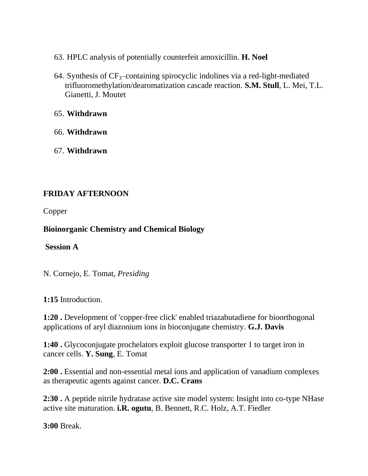- 63. HPLC analysis of potentially counterfeit amoxicillin. **H. Noel**
- 64. Synthesis of  $CF_3$ -containing spirocyclic indolines via a red-light-mediated trifluoromethylation/dearomatization cascade reaction. **S.M. Stull**, L. Mei, T.L. Gianetti, J. Moutet

65. **Withdrawn**

- 66. **Withdrawn**
- 67. **Withdrawn**

# **FRIDAY AFTERNOON**

Copper

# **Bioinorganic Chemistry and Chemical Biology**

#### **Session A**

N. Cornejo, E. Tomat, *Presiding*

**1:15** Introduction.

**1:20 .** Development of 'copper-free click' enabled triazabutadiene for bioorthogonal applications of aryl diazonium ions in bioconjugate chemistry. **G.J. Davis**

**1:40 .** Glycoconjugate prochelators exploit glucose transporter 1 to target iron in cancer cells. **Y. Sung**, E. Tomat

**2:00 .** Essential and non-essential metal ions and application of vanadium complexes as therapeutic agents against cancer. **D.C. Crans**

**2:30 .** A peptide nitrile hydratase active site model system: Insight into co-type NHase active site maturation. **i.R. ogutu**, B. Bennett, R.C. Holz, A.T. Fiedler

**3:00** Break.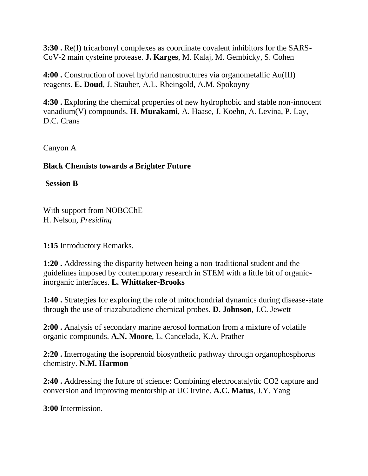**3:30 .** Re(I) tricarbonyl complexes as coordinate covalent inhibitors for the SARS-CoV-2 main cysteine protease. **J. Karges**, M. Kalaj, M. Gembicky, S. Cohen

**4:00 .** Construction of novel hybrid nanostructures via organometallic Au(III) reagents. **E. Doud**, J. Stauber, A.L. Rheingold, A.M. Spokoyny

**4:30 .** Exploring the chemical properties of new hydrophobic and stable non-innocent vanadium(V) compounds. **H. Murakami**, A. Haase, J. Koehn, A. Levina, P. Lay, D.C. Crans

Canyon A

## **Black Chemists towards a Brighter Future**

**Session B**

With support from NOBCChE H. Nelson, *Presiding*

**1:15** Introductory Remarks.

**1:20 .** Addressing the disparity between being a non-traditional student and the guidelines imposed by contemporary research in STEM with a little bit of organicinorganic interfaces. **L. Whittaker-Brooks**

**1:40 .** Strategies for exploring the role of mitochondrial dynamics during disease-state through the use of triazabutadiene chemical probes. **D. Johnson**, J.C. Jewett

**2:00 .** Analysis of secondary marine aerosol formation from a mixture of volatile organic compounds. **A.N. Moore**, L. Cancelada, K.A. Prather

**2:20 .** Interrogating the isoprenoid biosynthetic pathway through organophosphorus chemistry. **N.M. Harmon**

**2:40 .** Addressing the future of science: Combining electrocatalytic CO2 capture and conversion and improving mentorship at UC Irvine. **A.C. Matus**, J.Y. Yang

**3:00** Intermission.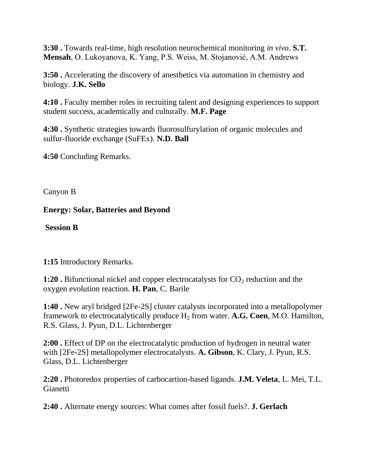**3:30 .** Towards real-time, high resolution neurochemical monitoring *in vivo*. **S.T. Mensah**, O. Lukoyanova, K. Yang, P.S. Weiss, M. Stojanović, A.M. Andrews

**3:50 .** Accelerating the discovery of anesthetics via automation in chemistry and biology. **J.K. Sello**

**4:10 .** Faculty member roles in recruiting talent and designing experiences to support student success, academically and culturally. **M.F. Page**

**4:30 .** Synthetic strategies towards fluorosulfurylation of organic molecules and sulfur-fluoride exchange (SuFEx). **N.D. Ball**

**4:50** Concluding Remarks.

Canyon B

**Energy: Solar, Batteries and Beyond**

**Session B**

**1:15** Introductory Remarks.

**1:20 .** Bifunctional nickel and copper electrocatalysts for  $CO_2$  reduction and the oxygen evolution reaction. **H. Pan**, C. Barile

**1:40 .** New aryl bridged [2Fe-2S] cluster catalysts incorporated into a metallopolymer framework to electrocatalytically produce H<sup>2</sup> from water. **A.G. Coen**, M.O. Hamilton, R.S. Glass, J. Pyun, D.L. Lichtenberger

**2:00 .** Effect of DP on the electrocatalytic production of hydrogen in neutral water with [2Fe-2S] metallopolymer electrocatalysts. **A. Gibson**, K. Clary, J. Pyun, R.S. Glass, D.L. Lichtenberger

**2:20 .** Photoredox properties of carbocartion-based ligands. **J.M. Veleta**, L. Mei, T.L. **Gianetti** 

**2:40 .** Alternate energy sources: What comes after fossil fuels?. **J. Gerlach**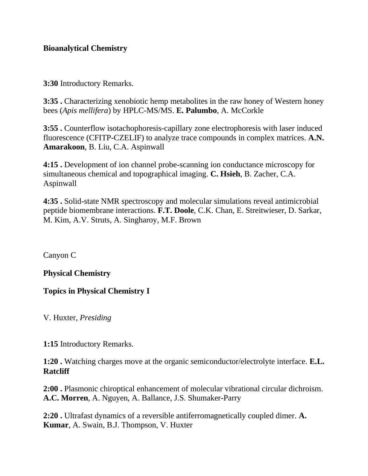#### **Bioanalytical Chemistry**

**3:30** Introductory Remarks.

**3:35 .** Characterizing xenobiotic hemp metabolites in the raw honey of Western honey bees (*Apis mellifera*) by HPLC-MS/MS. **E. Palumbo**, A. McCorkle

**3:55 .** Counterflow isotachophoresis-capillary zone electrophoresis with laser induced fluorescence (CFITP-CZELIF) to analyze trace compounds in complex matrices. **A.N. Amarakoon**, B. Liu, C.A. Aspinwall

**4:15 .** Development of ion channel probe-scanning ion conductance microscopy for simultaneous chemical and topographical imaging. **C. Hsieh**, B. Zacher, C.A. Aspinwall

**4:35 .** Solid-state NMR spectroscopy and molecular simulations reveal antimicrobial peptide biomembrane interactions. **F.T. Doole**, C.K. Chan, E. Streitwieser, D. Sarkar, M. Kim, A.V. Struts, A. Singharoy, M.F. Brown

Canyon C

#### **Physical Chemistry**

**Topics in Physical Chemistry I**

V. Huxter, *Presiding*

**1:15** Introductory Remarks.

**1:20 .** Watching charges move at the organic semiconductor/electrolyte interface. **E.L. Ratcliff**

**2:00 .** Plasmonic chiroptical enhancement of molecular vibrational circular dichroism. **A.C. Morren**, A. Nguyen, A. Ballance, J.S. Shumaker-Parry

**2:20 .** Ultrafast dynamics of a reversible antiferromagnetically coupled dimer. **A. Kumar**, A. Swain, B.J. Thompson, V. Huxter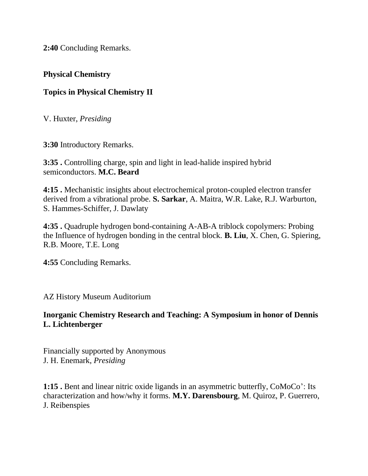**2:40** Concluding Remarks.

#### **Physical Chemistry**

# **Topics in Physical Chemistry II**

V. Huxter, *Presiding*

**3:30** Introductory Remarks.

**3:35 .** Controlling charge, spin and light in lead-halide inspired hybrid semiconductors. **M.C. Beard**

**4:15 .** Mechanistic insights about electrochemical proton-coupled electron transfer derived from a vibrational probe. **S. Sarkar**, A. Maitra, W.R. Lake, R.J. Warburton, S. Hammes-Schiffer, J. Dawlaty

**4:35 .** Quadruple hydrogen bond-containing A-AB-A triblock copolymers: Probing the Influence of hydrogen bonding in the central block. **B. Liu**, X. Chen, G. Spiering, R.B. Moore, T.E. Long

**4:55** Concluding Remarks.

AZ History Museum Auditorium

#### **Inorganic Chemistry Research and Teaching: A Symposium in honor of Dennis L. Lichtenberger**

Financially supported by Anonymous J. H. Enemark, *Presiding*

**1:15 .** Bent and linear nitric oxide ligands in an asymmetric butterfly, CoMoCo': Its characterization and how/why it forms. **M.Y. Darensbourg**, M. Quiroz, P. Guerrero, J. Reibenspies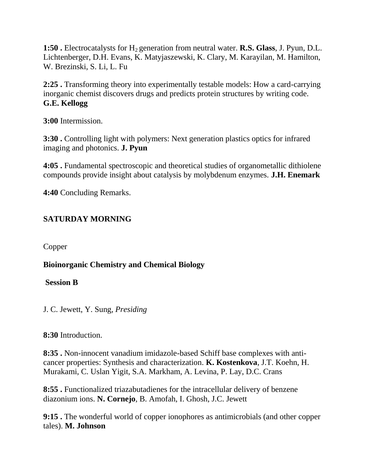**1:50 .** Electrocatalysts for H<sub>2</sub> generation from neutral water. **R.S. Glass**, J. Pyun, D.L. Lichtenberger, D.H. Evans, K. Matyjaszewski, K. Clary, M. Karayilan, M. Hamilton, W. Brezinski, S. Li, L. Fu

**2:25 .** Transforming theory into experimentally testable models: How a card-carrying inorganic chemist discovers drugs and predicts protein structures by writing code. **G.E. Kellogg**

**3:00** Intermission.

**3:30 .** Controlling light with polymers: Next generation plastics optics for infrared imaging and photonics. **J. Pyun**

**4:05 .** Fundamental spectroscopic and theoretical studies of organometallic dithiolene compounds provide insight about catalysis by molybdenum enzymes. **J.H. Enemark**

**4:40** Concluding Remarks.

# **SATURDAY MORNING**

Copper

**Bioinorganic Chemistry and Chemical Biology**

#### **Session B**

J. C. Jewett, Y. Sung, *Presiding*

#### **8:30** Introduction.

**8:35 .** Non-innocent vanadium imidazole-based Schiff base complexes with anticancer properties: Synthesis and characterization. **K. Kostenkova**, J.T. Koehn, H. Murakami, C. Uslan Yigit, S.A. Markham, A. Levina, P. Lay, D.C. Crans

**8:55 .** Functionalized triazabutadienes for the intracellular delivery of benzene diazonium ions. **N. Cornejo**, B. Amofah, I. Ghosh, J.C. Jewett

**9:15 .** The wonderful world of copper ionophores as antimicrobials (and other copper tales). **M. Johnson**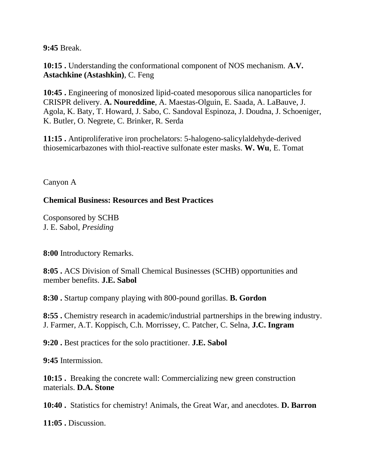**9:45** Break.

**10:15 .** Understanding the conformational component of NOS mechanism. **A.V. Astachkine (Astashkin)**, C. Feng

**10:45 .** Engineering of monosized lipid-coated mesoporous silica nanoparticles for CRISPR delivery. **A. Noureddine**, A. Maestas-Olguin, E. Saada, A. LaBauve, J. Agola, K. Baty, T. Howard, J. Sabo, C. Sandoval Espinoza, J. Doudna, J. Schoeniger, K. Butler, O. Negrete, C. Brinker, R. Serda

**11:15 .** Antiproliferative iron prochelators: 5-halogeno-salicylaldehyde-derived thiosemicarbazones with thiol-reactive sulfonate ester masks. **W. Wu**, E. Tomat

Canyon A

#### **Chemical Business: Resources and Best Practices**

Cosponsored by SCHB J. E. Sabol, *Presiding*

**8:00** Introductory Remarks.

**8:05 .** ACS Division of Small Chemical Businesses (SCHB) opportunities and member benefits. **J.E. Sabol**

**8:30 .** Startup company playing with 800-pound gorillas. **B. Gordon**

**8:55 .** Chemistry research in academic/industrial partnerships in the brewing industry. J. Farmer, A.T. Koppisch, C.h. Morrissey, C. Patcher, C. Selna, **J.C. Ingram**

**9:20 .** Best practices for the solo practitioner. **J.E. Sabol**

**9:45** Intermission.

**10:15 .** Breaking the concrete wall: Commercializing new green construction materials. **D.A. Stone**

**10:40 .** Statistics for chemistry! Animals, the Great War, and anecdotes. **D. Barron**

**11:05 .** Discussion.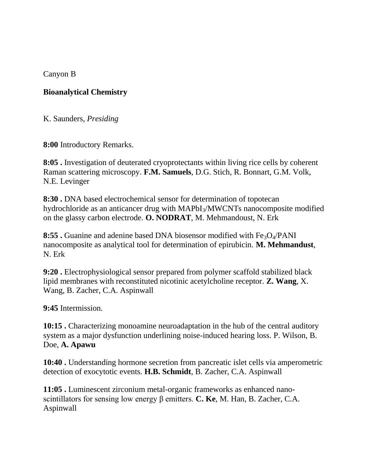Canyon B

#### **Bioanalytical Chemistry**

K. Saunders, *Presiding*

**8:00** Introductory Remarks.

**8:05 .** Investigation of deuterated cryoprotectants within living rice cells by coherent Raman scattering microscopy. **F.M. Samuels**, D.G. Stich, R. Bonnart, G.M. Volk, N.E. Levinger

**8:30 .** DNA based electrochemical sensor for determination of topotecan hydrochloride as an anticancer drug with MAPbI<sub>3</sub>/MWCNTs nanocomposite modified on the glassy carbon electrode. **O. NODRAT**, M. Mehmandoust, N. Erk

**8:55 .** Guanine and adenine based DNA biosensor modified with Fe<sub>3</sub>O<sub>4</sub>/PANI nanocomposite as analytical tool for determination of epirubicin. **M. Mehmandust**, N. Erk

**9:20 .** Electrophysiological sensor prepared from polymer scaffold stabilized black lipid membranes with reconstituted nicotinic acetylcholine receptor. **Z. Wang**, X. Wang, B. Zacher, C.A. Aspinwall

**9:45** Intermission.

**10:15 .** Characterizing monoamine neuroadaptation in the hub of the central auditory system as a major dysfunction underlining noise-induced hearing loss. P. Wilson, B. Doe, **A. Apawu**

**10:40 .** Understanding hormone secretion from pancreatic islet cells via amperometric detection of exocytotic events. **H.B. Schmidt**, B. Zacher, C.A. Aspinwall

**11:05 .** Luminescent zirconium metal-organic frameworks as enhanced nanoscintillators for sensing low energy β emitters. **C. Ke**, M. Han, B. Zacher, C.A. Aspinwall